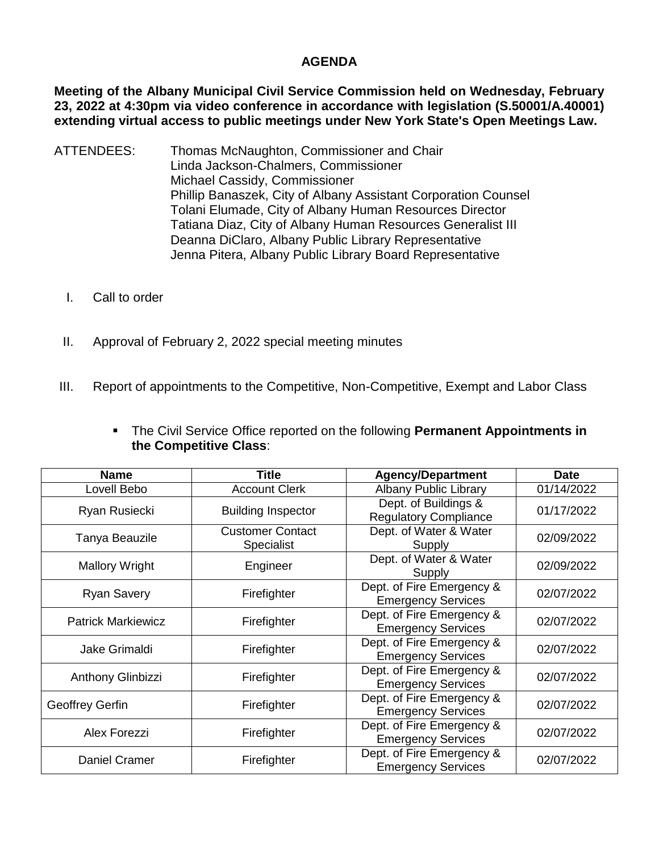## **AGENDA**

**Meeting of the Albany Municipal Civil Service Commission held on Wednesday, February 23, 2022 at 4:30pm via video conference in accordance with legislation (S.50001/A.40001) extending virtual access to public meetings under New York State's Open Meetings Law.** 

- ATTENDEES: Thomas McNaughton, Commissioner and Chair Linda Jackson-Chalmers, Commissioner Michael Cassidy, Commissioner Phillip Banaszek, City of Albany Assistant Corporation Counsel Tolani Elumade, City of Albany Human Resources Director Tatiana Diaz, City of Albany Human Resources Generalist III Deanna DiClaro, Albany Public Library Representative Jenna Pitera, Albany Public Library Board Representative
	- I. Call to order
	- II. Approval of February 2, 2022 special meeting minutes
- III. Report of appointments to the Competitive, Non-Competitive, Exempt and Labor Class

| • The Civil Service Office reported on the following Permanent Appointments in |
|--------------------------------------------------------------------------------|
| the Competitive Class:                                                         |

| <b>Name</b>               | <b>Title</b>                          | <b>Agency/Department</b>                               | <b>Date</b> |
|---------------------------|---------------------------------------|--------------------------------------------------------|-------------|
| Lovell Bebo               | <b>Account Clerk</b>                  | <b>Albany Public Library</b>                           | 01/14/2022  |
| Ryan Rusiecki             | <b>Building Inspector</b>             | Dept. of Buildings &<br><b>Regulatory Compliance</b>   | 01/17/2022  |
| Tanya Beauzile            | <b>Customer Contact</b><br>Specialist | Dept. of Water & Water<br>Supply                       | 02/09/2022  |
| <b>Mallory Wright</b>     | Engineer                              | Dept. of Water & Water<br>Supply                       | 02/09/2022  |
| <b>Ryan Savery</b>        | Firefighter                           | Dept. of Fire Emergency &<br><b>Emergency Services</b> | 02/07/2022  |
| <b>Patrick Markiewicz</b> | Firefighter                           | Dept. of Fire Emergency &<br><b>Emergency Services</b> | 02/07/2022  |
| <b>Jake Grimaldi</b>      | Firefighter                           | Dept. of Fire Emergency &<br><b>Emergency Services</b> | 02/07/2022  |
| <b>Anthony Glinbizzi</b>  | Firefighter                           | Dept. of Fire Emergency &<br><b>Emergency Services</b> | 02/07/2022  |
| Geoffrey Gerfin           | Firefighter                           | Dept. of Fire Emergency &<br><b>Emergency Services</b> | 02/07/2022  |
| Alex Forezzi              | Firefighter                           | Dept. of Fire Emergency &<br><b>Emergency Services</b> | 02/07/2022  |
| <b>Daniel Cramer</b>      | Firefighter                           | Dept. of Fire Emergency &<br><b>Emergency Services</b> | 02/07/2022  |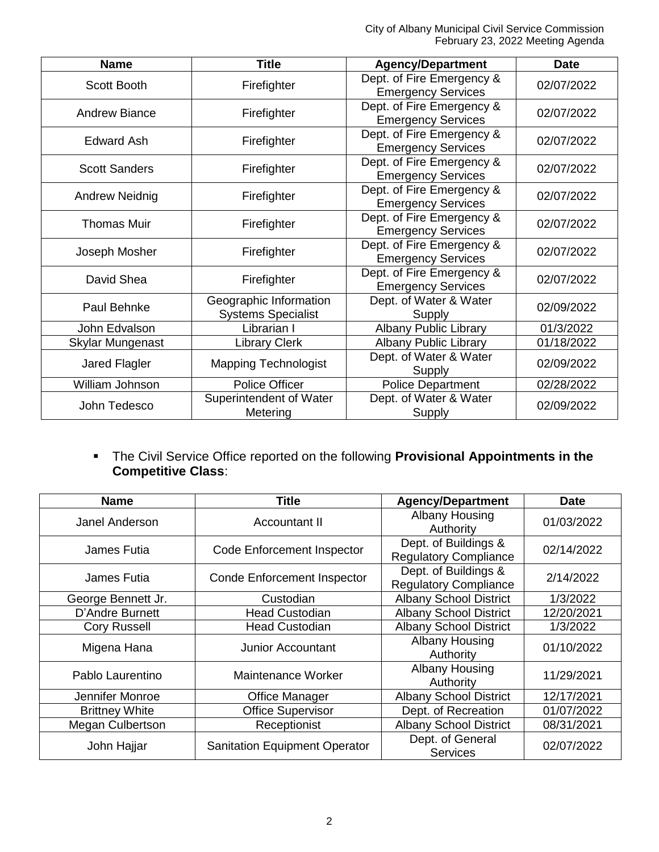City of Albany Municipal Civil Service Commission February 23, 2022 Meeting Agenda

| <b>Name</b>           | <b>Title</b>                                        | <b>Agency/Department</b>                               | <b>Date</b> |
|-----------------------|-----------------------------------------------------|--------------------------------------------------------|-------------|
| <b>Scott Booth</b>    | Firefighter                                         | Dept. of Fire Emergency &<br><b>Emergency Services</b> | 02/07/2022  |
| <b>Andrew Biance</b>  | Firefighter                                         | Dept. of Fire Emergency &<br><b>Emergency Services</b> | 02/07/2022  |
| Edward Ash            | Firefighter                                         | Dept. of Fire Emergency &<br><b>Emergency Services</b> | 02/07/2022  |
| <b>Scott Sanders</b>  | Firefighter                                         | Dept. of Fire Emergency &<br><b>Emergency Services</b> | 02/07/2022  |
| <b>Andrew Neidnig</b> | Firefighter                                         | Dept. of Fire Emergency &<br><b>Emergency Services</b> | 02/07/2022  |
| <b>Thomas Muir</b>    | Firefighter                                         | Dept. of Fire Emergency &<br><b>Emergency Services</b> | 02/07/2022  |
| Joseph Mosher         | Firefighter                                         | Dept. of Fire Emergency &<br><b>Emergency Services</b> | 02/07/2022  |
| David Shea            | Firefighter                                         | Dept. of Fire Emergency &<br><b>Emergency Services</b> | 02/07/2022  |
| Paul Behnke           | Geographic Information<br><b>Systems Specialist</b> | Dept. of Water & Water<br>Supply                       | 02/09/2022  |
| John Edvalson         | Librarian I                                         | <b>Albany Public Library</b>                           | 01/3/2022   |
| Skylar Mungenast      | <b>Library Clerk</b>                                | <b>Albany Public Library</b>                           | 01/18/2022  |
| Jared Flagler         | <b>Mapping Technologist</b>                         | Dept. of Water & Water<br>Supply                       | 02/09/2022  |
| William Johnson       | <b>Police Officer</b>                               | <b>Police Department</b>                               | 02/28/2022  |
| John Tedesco          | Superintendent of Water<br>Metering                 | Dept. of Water & Water<br>Supply                       | 02/09/2022  |

 The Civil Service Office reported on the following **Provisional Appointments in the Competitive Class**:

| <b>Name</b>             | Title                                | <b>Agency/Department</b>                             | <b>Date</b> |
|-------------------------|--------------------------------------|------------------------------------------------------|-------------|
| Janel Anderson          | Accountant II                        | <b>Albany Housing</b><br>Authority                   | 01/03/2022  |
| James Futia             | <b>Code Enforcement Inspector</b>    | Dept. of Buildings &<br><b>Regulatory Compliance</b> | 02/14/2022  |
| James Futia             | <b>Conde Enforcement Inspector</b>   | Dept. of Buildings &<br><b>Regulatory Compliance</b> | 2/14/2022   |
| George Bennett Jr.      | Custodian                            | <b>Albany School District</b>                        | 1/3/2022    |
| D'Andre Burnett         | <b>Head Custodian</b>                | <b>Albany School District</b>                        | 12/20/2021  |
| <b>Cory Russell</b>     | <b>Head Custodian</b>                | <b>Albany School District</b>                        | 1/3/2022    |
| Migena Hana             | <b>Junior Accountant</b>             | Albany Housing<br>Authority                          | 01/10/2022  |
| Pablo Laurentino        | Maintenance Worker                   | Albany Housing<br>Authority                          | 11/29/2021  |
| Jennifer Monroe         | <b>Office Manager</b>                | <b>Albany School District</b>                        | 12/17/2021  |
| <b>Brittney White</b>   | <b>Office Supervisor</b>             | Dept. of Recreation                                  | 01/07/2022  |
| <b>Megan Culbertson</b> | Receptionist                         | <b>Albany School District</b>                        | 08/31/2021  |
| John Hajjar             | <b>Sanitation Equipment Operator</b> | Dept. of General<br><b>Services</b>                  | 02/07/2022  |